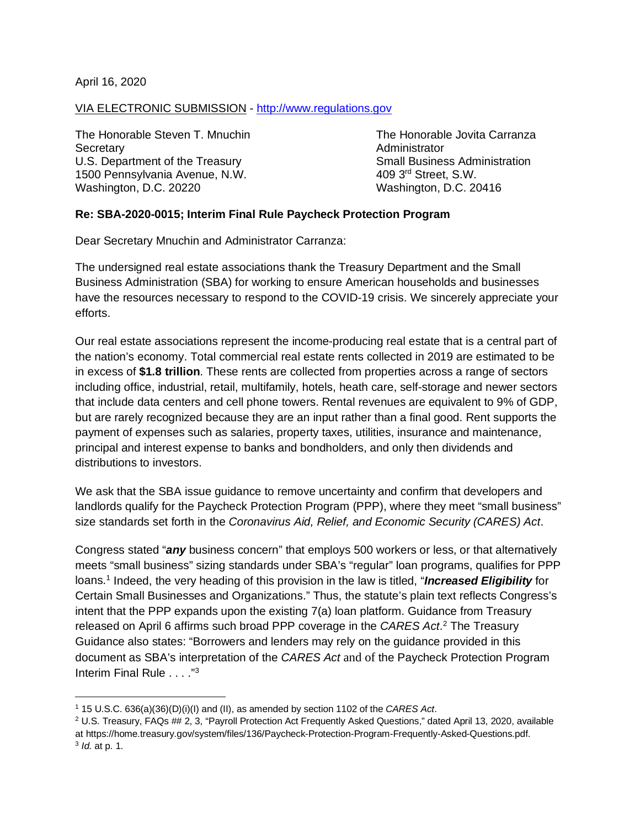April 16, 2020

## VIA ELECTRONIC SUBMISSION - http://www.regulations.gov

The Honorable Steven T. Mnuchin The The Honorable Jovita Carranza Secretary **Administrator Administrator Administrator** U.S. Department of the Treasury Small Business Administration 1500 Pennsylvania Avenue, N.W. 409 3rd Street, S.W. Washington, D.C. 20220

## **Re: SBA-2020-0015; Interim Final Rule Paycheck Protection Program**

Dear Secretary Mnuchin and Administrator Carranza:

The undersigned real estate associations thank the Treasury Department and the Small Business Administration (SBA) for working to ensure American households and businesses have the resources necessary to respond to the COVID-19 crisis. We sincerely appreciate your efforts.

Our real estate associations represent the income-producing real estate that is a central part of the nation's economy. Total commercial real estate rents collected in 2019 are estimated to be in excess of **\$1.8 trillion**. These rents are collected from properties across a range of sectors including office, industrial, retail, multifamily, hotels, heath care, self-storage and newer sectors that include data centers and cell phone towers. Rental revenues are equivalent to 9% of GDP, but are rarely recognized because they are an input rather than a final good. Rent supports the payment of expenses such as salaries, property taxes, utilities, insurance and maintenance, principal and interest expense to banks and bondholders, and only then dividends and distributions to investors.

We ask that the SBA issue guidance to remove uncertainty and confirm that developers and landlords qualify for the Paycheck Protection Program (PPP), where they meet "small business" size standards set forth in the *Coronavirus Aid, Relief, and Economic Security (CARES) Act*.

Congress stated "*any* business concern" that employs 500 workers or less, or that alternatively meets "small business" sizing standards under SBA's "regular" loan programs, qualifies for PPP loans.1 Indeed, the very heading of this provision in the law is titled, "*Increased Eligibility* for Certain Small Businesses and Organizations." Thus, the statute's plain text reflects Congress's intent that the PPP expands upon the existing 7(a) loan platform. Guidance from Treasury released on April 6 affirms such broad PPP coverage in the *CARES Act*. <sup>2</sup> The Treasury Guidance also states: "Borrowers and lenders may rely on the guidance provided in this document as SBA's interpretation of the *CARES Act* and of the Paycheck Protection Program Interim Final Rule . . . ."3

<sup>&</sup>lt;sup>1</sup> 15 U.S.C. 636(a)(36)(D)(i)(I) and (II), as amended by section 1102 of the *CARES Act*.<br><sup>2</sup> U.S. Treasury, FAQs ## 2, 3, "Payroll Protection Act Frequently Asked Questions," dated April 13, 2020, available at https://home.treasury.gov/system/files/136/Paycheck-Protection-Program-Frequently-Asked-Questions.pdf. 3 *Id.* at p. 1.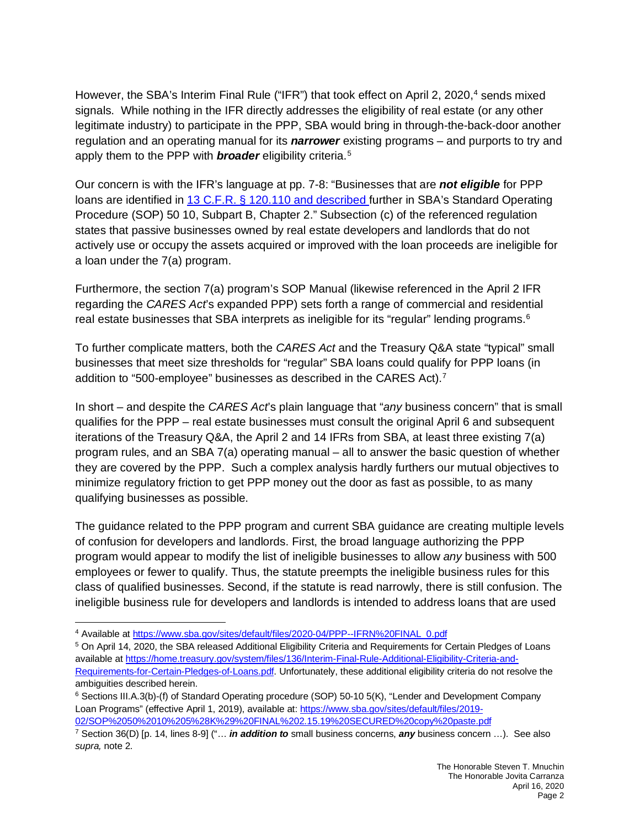However, the SBA's Interim Final Rule ("IFR") that took effect on April 2, 2020,<sup>4</sup> sends mixed signals. While nothing in the IFR directly addresses the eligibility of real estate (or any other legitimate industry) to participate in the PPP, SBA would bring in through-the-back-door another regulation and an operating manual for its *narrower* existing programs – and purports to try and apply them to the PPP with *broader* eligibility criteria.5

Our concern is with the IFR's language at pp. 7-8: "Businesses that are *not eligible* for PPP loans are identified in 13 C.F.R. § 120.110 and described further in SBA's Standard Operating Procedure (SOP) 50 10, Subpart B, Chapter 2." Subsection (c) of the referenced regulation states that passive businesses owned by real estate developers and landlords that do not actively use or occupy the assets acquired or improved with the loan proceeds are ineligible for a loan under the 7(a) program.

Furthermore, the section 7(a) program's SOP Manual (likewise referenced in the April 2 IFR regarding the *CARES Act*'s expanded PPP) sets forth a range of commercial and residential real estate businesses that SBA interprets as ineligible for its "regular" lending programs.<sup>6</sup>

To further complicate matters, both the *CARES Act* and the Treasury Q&A state "typical" small businesses that meet size thresholds for "regular" SBA loans could qualify for PPP loans (in addition to "500-employee" businesses as described in the CARES Act).<sup>7</sup>

In short – and despite the *CARES Act*'s plain language that "*any* business concern" that is small qualifies for the PPP – real estate businesses must consult the original April 6 and subsequent iterations of the Treasury Q&A, the April 2 and 14 IFRs from SBA, at least three existing 7(a) program rules, and an SBA 7(a) operating manual – all to answer the basic question of whether they are covered by the PPP. Such a complex analysis hardly furthers our mutual objectives to minimize regulatory friction to get PPP money out the door as fast as possible, to as many qualifying businesses as possible.

The guidance related to the PPP program and current SBA guidance are creating multiple levels of confusion for developers and landlords. First, the broad language authorizing the PPP program would appear to modify the list of ineligible businesses to allow *any* business with 500 employees or fewer to qualify. Thus, the statute preempts the ineligible business rules for this class of qualified businesses. Second, if the statute is read narrowly, there is still confusion. The ineligible business rule for developers and landlords is intended to address loans that are used

<sup>4</sup> Available at https://www.sba.gov/sites/default/files/2020-04/PPP--IFRN%20FINAL 0.pdf

<sup>5</sup> On April 14, 2020, the SBA released Additional Eligibility Criteria and Requirements for Certain Pledges of Loans available at https://home.treasury.gov/system/files/136/Interim-Final-Rule-Additional-Eligibility-Criteria-and-Requirements-for-Certain-Pledges-of-Loans.pdf. Unfortunately, these additional eligibility criteria do not resolve the ambiguities described herein.

<sup>6</sup> Sections III.A.3(b)-(f) of Standard Operating procedure (SOP) 50-10 5(K), "Lender and Development Company Loan Programs" (effective April 1, 2019), available at: https://www.sba.gov/sites/default/files/2019-02/SOP%2050%2010%205%28K%29%20FINAL%202.15.19%20SECURED%20copy%20paste.pdf

<sup>7</sup> Section 36(D) [p. 14, lines 8-9] ("… *in addition to* small business concerns, *any* business concern …). See also *supra,* note 2.